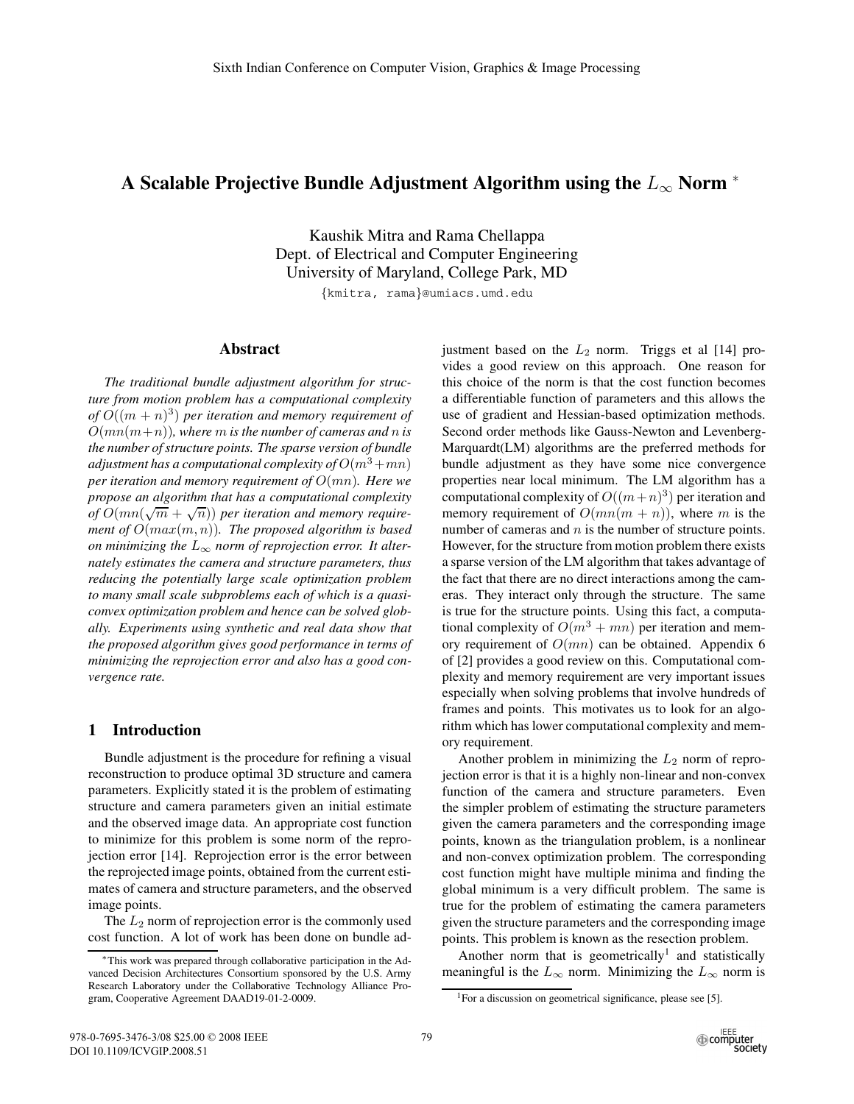# **A Scalable Projective Bundle Adjustment Algorithm using the** *L*<sup>∞</sup> **Norm** <sup>∗</sup>

Kaushik Mitra and Rama Chellappa Dept. of Electrical and Computer Engineering University of Maryland, College Park, MD

*{*kmitra, rama*}*@umiacs.umd.edu

#### **Abstract**

*The traditional bundle adjustment algorithm for structure from motion problem has a computational complexity of*  $O((m + n)^3)$  *per iteration and memory requirement of*  $O(mn(m+n))$ *, where* m *is the number of cameras and* n *is the number of structure points. The sparse version of bundle adjustment has a computational complexity of*  $O(m^3 + mn)$ *per iteration and memory requirement of* <sup>O</sup>(mn)*. Here we propose an algorithm that has a computational complexity of*  $O(mn(\sqrt{m} + \sqrt{n}))$  *per iteration and memory require-*<br>*ment of*  $O(mn(\sqrt{m} + \sqrt{n}))$  *The proposed algorithm is based ment of* <sup>O</sup>(max(m, n))*. The proposed algorithm is based on minimizing the*  $L_{\infty}$  *norm of reprojection error. It alternately estimates the camera and structure parameters, thus reducing the potentially large scale optimization problem to many small scale subproblems each of which is a quasiconvex optimization problem and hence can be solved globally. Experiments using synthetic and real data show that the proposed algorithm gives good performance in terms of minimizing the reprojection error and also has a good convergence rate.*

# **1 Introduction**

Bundle adjustment is the procedure for refining a visual reconstruction to produce optimal 3D structure and camera parameters. Explicitly stated it is the problem of estimating structure and camera parameters given an initial estimate and the observed image data. An appropriate cost function to minimize for this problem is some norm of the reprojection error [14]. Reprojection error is the error between the reprojected image points, obtained from the current estimates of camera and structure parameters, and the observed image points.

The  $L_2$  norm of reprojection error is the commonly used cost function. A lot of work has been done on bundle adjustment based on the  $L_2$  norm. Triggs et al [14] provides a good review on this approach. One reason for this choice of the norm is that the cost function becomes a differentiable function of parameters and this allows the use of gradient and Hessian-based optimization methods. Second order methods like Gauss-Newton and Levenberg-Marquardt(LM) algorithms are the preferred methods for bundle adjustment as they have some nice convergence properties near local minimum. The LM algorithm has a computational complexity of  $O((m+n)^3)$  per iteration and memory requirement of  $O(mn(m + n))$ , where m is the number of cameras and  $n$  is the number of structure points. However, for the structure from motion problem there exists a sparse version of the LM algorithm that takes advantage of the fact that there are no direct interactions among the cameras. They interact only through the structure. The same is true for the structure points. Using this fact, a computational complexity of  $O(m^3 + mn)$  per iteration and memory requirement of  $O(mn)$  can be obtained. Appendix 6 of [2] provides a good review on this. Computational complexity and memory requirement are very important issues especially when solving problems that involve hundreds of frames and points. This motivates us to look for an algorithm which has lower computational complexity and memory requirement.

Another problem in minimizing the  $L_2$  norm of reprojection error is that it is a highly non-linear and non-convex function of the camera and structure parameters. Even the simpler problem of estimating the structure parameters given the camera parameters and the corresponding image points, known as the triangulation problem, is a nonlinear and non-convex optimization problem. The corresponding cost function might have multiple minima and finding the global minimum is a very difficult problem. The same is true for the problem of estimating the camera parameters given the structure parameters and the corresponding image points. This problem is known as the resection problem.

Another norm that is geometrically<sup>1</sup> and statistically meaningful is the  $L_{\infty}$  norm. Minimizing the  $L_{\infty}$  norm is

<sup>∗</sup>This work was prepared through collaborative participation in the Advanced Decision Architectures Consortium sponsored by the U.S. Army Research Laboratory under the Collaborative Technology Alliance Program, Cooperative Agreement DAAD19-01-2-0009.

<sup>&</sup>lt;sup>1</sup>For a discussion on geometrical significance, please see [5].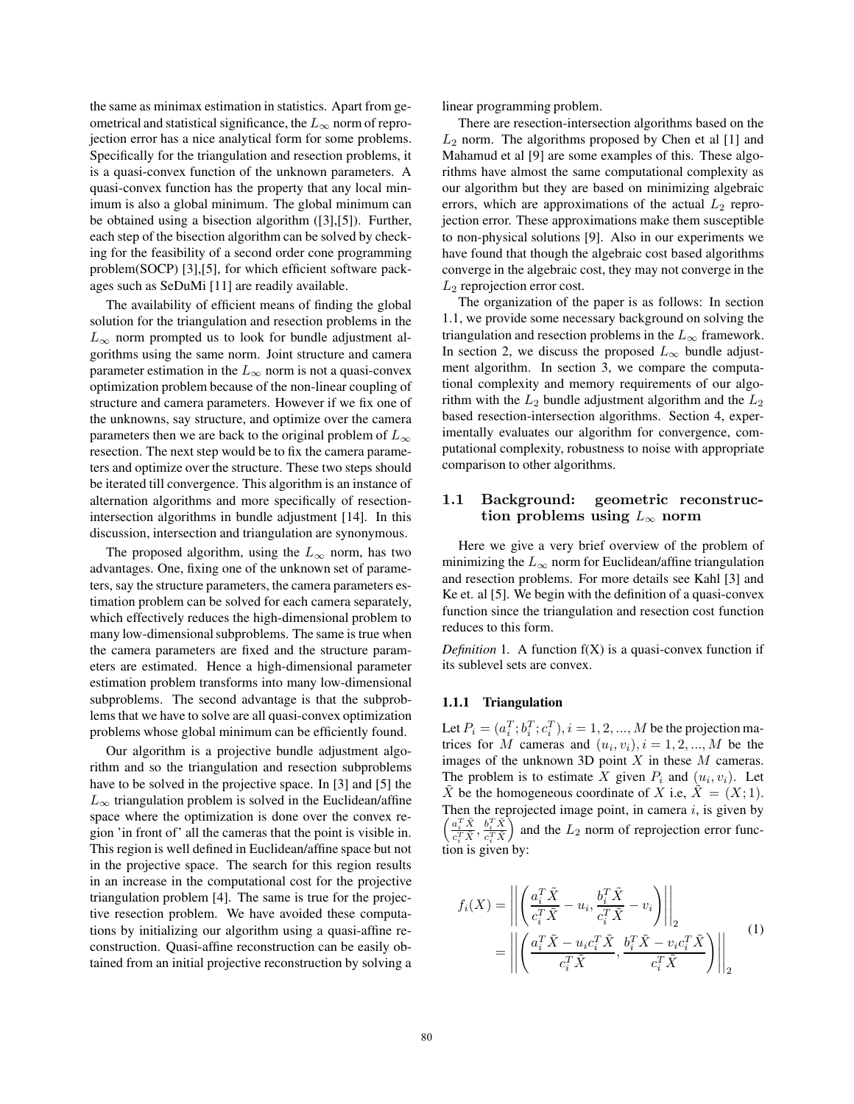the same as minimax estimation in statistics. Apart from geometrical and statistical significance, the  $L_{\infty}$  norm of reprojection error has a nice analytical form for some problems. Specifically for the triangulation and resection problems, it is a quasi-convex function of the unknown parameters. A quasi-convex function has the property that any local minimum is also a global minimum. The global minimum can be obtained using a bisection algorithm ([3],[5]). Further, each step of the bisection algorithm can be solved by checking for the feasibility of a second order cone programming problem(SOCP) [3],[5], for which efficient software packages such as SeDuMi [11] are readily available.

The availability of efficient means of finding the global solution for the triangulation and resection problems in the  $L_{\infty}$  norm prompted us to look for bundle adjustment algorithms using the same norm. Joint structure and camera parameter estimation in the  $L_{\infty}$  norm is not a quasi-convex optimization problem because of the non-linear coupling of structure and camera parameters. However if we fix one of the unknowns, say structure, and optimize over the camera parameters then we are back to the original problem of  $L_{\infty}$ resection. The next step would be to fix the camera parameters and optimize over the structure. These two steps should be iterated till convergence. This algorithm is an instance of alternation algorithms and more specifically of resectionintersection algorithms in bundle adjustment [14]. In this discussion, intersection and triangulation are synonymous.

The proposed algorithm, using the  $L_{\infty}$  norm, has two advantages. One, fixing one of the unknown set of parameters, say the structure parameters, the camera parameters estimation problem can be solved for each camera separately, which effectively reduces the high-dimensional problem to many low-dimensional subproblems. The same is true when the camera parameters are fixed and the structure parameters are estimated. Hence a high-dimensional parameter estimation problem transforms into many low-dimensional subproblems. The second advantage is that the subproblems that we have to solve are all quasi-convex optimization problems whose global minimum can be efficiently found.

Our algorithm is a projective bundle adjustment algorithm and so the triangulation and resection subproblems have to be solved in the projective space. In [3] and [5] the  $L_{\infty}$  triangulation problem is solved in the Euclidean/affine space where the optimization is done over the convex region 'in front of' all the cameras that the point is visible in. This region is well defined in Euclidean/affine space but not in the projective space. The search for this region results in an increase in the computational cost for the projective triangulation problem [4]. The same is true for the projective resection problem. We have avoided these computations by initializing our algorithm using a quasi-affine reconstruction. Quasi-affine reconstruction can be easily obtained from an initial projective reconstruction by solving a linear programming problem.

There are resection-intersection algorithms based on the  $L_2$  norm. The algorithms proposed by Chen et al [1] and Mahamud et al [9] are some examples of this. These algorithms have almost the same computational complexity as our algorithm but they are based on minimizing algebraic errors, which are approximations of the actual  $L_2$  reprojection error. These approximations make them susceptible to non-physical solutions [9]. Also in our experiments we have found that though the algebraic cost based algorithms converge in the algebraic cost, they may not converge in the  $L_2$  reprojection error cost.

The organization of the paper is as follows: In section 1.1, we provide some necessary background on solving the triangulation and resection problems in the  $L_{\infty}$  framework. In section 2, we discuss the proposed  $L_{\infty}$  bundle adjustment algorithm. In section 3, we compare the computational complexity and memory requirements of our algorithm with the  $L_2$  bundle adjustment algorithm and the  $L_2$ based resection-intersection algorithms. Section 4, experimentally evaluates our algorithm for convergence, computational complexity, robustness to noise with appropriate comparison to other algorithms.

# **1.1 Background: geometric reconstruction problems using**  $L_{\infty}$  **norm**

Here we give a very brief overview of the problem of minimizing the  $L_{\infty}$  norm for Euclidean/affine triangulation and resection problems. For more details see Kahl [3] and Ke et. al [5]. We begin with the definition of a quasi-convex function since the triangulation and resection cost function reduces to this form.

*Definition* 1*.* A function f(X) is a quasi-convex function if its sublevel sets are convex.

#### **1.1.1 Triangulation**

Let  $P_i = (a_i^T; b_i^T; c_i^T), i = 1, 2, ..., M$  be the projection matrices for M cameras and  $(u, v)$ ,  $i = 1, 2, ..., M$  be the trices for M cameras and  $(u_i, v_i)$ ,  $i = 1, 2, ..., M$  be the images of the unknown 3D point  $X$  in these  $M$  cameras. The problem is to estimate X given  $P_i$  and  $(u_i, v_i)$ . Let X be the homogeneous coordinate of X i.e,  $\tilde{X} = (X; 1)$ . Then the reprojected image point, in camera  $i$ , is given by  $\left(\frac{a_i^T \tilde{X}}{c_i^T \tilde{X}}, \frac{b_i^T \tilde{X}}{c_i^T \tilde{X}}\right)$ ) and the  $L_2$  norm of reprojection error func- $\lim_{n \to \infty} \frac{1}{n}$  by: and the  $L_2$  norm of reproje  $\ddot{e}$ 

$$
f_i(X) = \left\| \left( \frac{a_i^T \tilde{X}}{c_i^T \tilde{X}} - u_i, \frac{b_i^T \tilde{X}}{c_i^T \tilde{X}} - v_i \right) \right\|_2
$$
  
= 
$$
\left\| \left( \frac{a_i^T \tilde{X} - u_i c_i^T \tilde{X}}{c_i^T \tilde{X}}, \frac{b_i^T \tilde{X} - v_i c_i^T \tilde{X}}{c_i^T \tilde{X}} \right) \right\|_2
$$
 (1)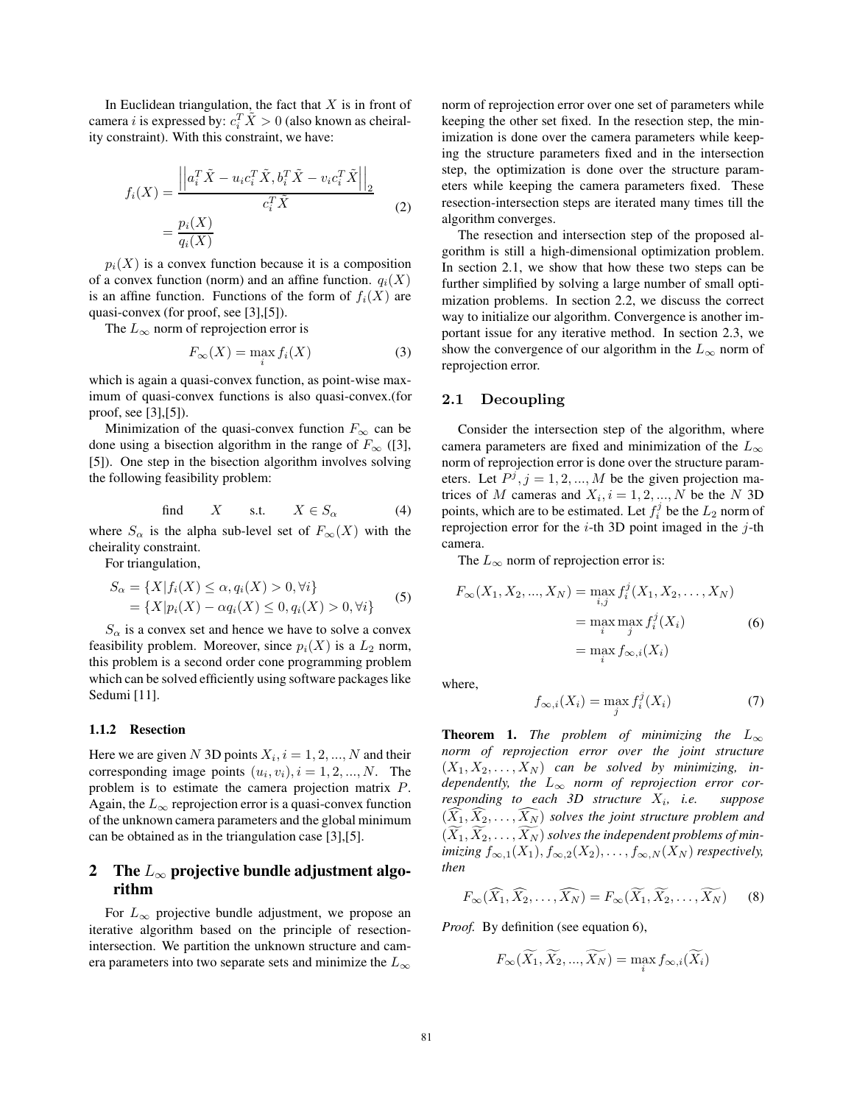In Euclidean triangulation, the fact that X is in front of camera *i* is expressed by:  $c_i^T \tilde{X} > 0$  (also known as cheiral-<br>ity constraint). With this constraint, we have: ity constraint). With this constraint, we have:

$$
f_i(X) = \frac{\left\|a_i^T \tilde{X} - u_i c_i^T \tilde{X}, b_i^T \tilde{X} - v_i c_i^T \tilde{X}\right\|_2}{c_i^T \tilde{X}}
$$
  

$$
= \frac{p_i(X)}{q_i(X)}
$$
 (2)

 $p_i(X)$  is a convex function because it is a composition of a convex function (norm) and an affine function.  $q_i(X)$ is an affine function. Functions of the form of  $f_i(X)$  are quasi-convex (for proof, see [3],[5]).

The  $L_{\infty}$  norm of reprojection error is

$$
F_{\infty}(X) = \max_{i} f_i(X) \tag{3}
$$

which is again a quasi-convex function, as point-wise maximum of quasi-convex functions is also quasi-convex.(for proof, see [3],[5]).

Minimization of the quasi-convex function  $F_{\infty}$  can be done using a bisection algorithm in the range of  $F_{\infty}$  ([3], [5]). One step in the bisection algorithm involves solving the following feasibility problem:

find 
$$
X
$$
 s.t.  $X \in S_\alpha$  (4)

where  $S_\alpha$  is the alpha sub-level set of  $F_\infty(X)$  with the cheirality constraint.

For triangulation,

$$
S_{\alpha} = \{ X | f_i(X) \le \alpha, q_i(X) > 0, \forall i \}
$$
  
=  $\{ X | p_i(X) - \alpha q_i(X) \le 0, q_i(X) > 0, \forall i \}$  (5)

 $S_{\alpha}$  is a convex set and hence we have to solve a convex feasibility problem. Moreover, since  $p_i(X)$  is a  $L_2$  norm, this problem is a second order cone programming problem which can be solved efficiently using software packages like Sedumi [11].

### **1.1.2 Resection**

Here we are given N 3D points  $X_i$ ,  $i = 1, 2, ..., N$  and their corresponding image points  $(u_i, v_i)$ ,  $i = 1, 2, ..., N$ . The problem is to estimate the camera projection matrix P. Again, the  $L_{\infty}$  reprojection error is a quasi-convex function of the unknown camera parameters and the global minimum can be obtained as in the triangulation case [3],[5].

# **2 The** *L*<sup>∞</sup> **projective bundle adjustment algorithm**

For  $L_{\infty}$  projective bundle adjustment, we propose an iterative algorithm based on the principle of resectionintersection. We partition the unknown structure and camera parameters into two separate sets and minimize the  $L_{\infty}$ 

norm of reprojection error over one set of parameters while keeping the other set fixed. In the resection step, the minimization is done over the camera parameters while keeping the structure parameters fixed and in the intersection step, the optimization is done over the structure parameters while keeping the camera parameters fixed. These resection-intersection steps are iterated many times till the algorithm converges.

The resection and intersection step of the proposed algorithm is still a high-dimensional optimization problem. In section 2.1, we show that how these two steps can be further simplified by solving a large number of small optimization problems. In section 2.2, we discuss the correct way to initialize our algorithm. Convergence is another important issue for any iterative method. In section 2.3, we show the convergence of our algorithm in the  $L_{\infty}$  norm of reprojection error.

#### **2.1 Decoupling**

Consider the intersection step of the algorithm, where camera parameters are fixed and minimization of the  $L_{\infty}$ norm of reprojection error is done over the structure parameters. Let  $P^j$ ,  $j = 1, 2, ..., M$  be the given projection matrices of M cameras and  $X_i$ ,  $i = 1, 2, ..., N$  be the N 3D points, which are to be estimated. Let  $f_i^j$  be the  $L_2$  norm of reprojection error for the  $i$ -th 3D point imaged in the  $j$ -th camera.

The  $L_{\infty}$  norm of reprojection error is:

$$
F_{\infty}(X_1, X_2, ..., X_N) = \max_{i,j} f_i^j(X_1, X_2, ..., X_N)
$$
  
= 
$$
\max_{i} \max_{j} f_i^j(X_i)
$$
  
= 
$$
\max_{i} f_{\infty,i}(X_i)
$$
 (6)

where,

$$
f_{\infty,i}(X_i) = \max_j f_i^j(X_i)
$$
 (7)

**Theorem 1.** *The problem of minimizing the*  $L_{\infty}$ *norm of reprojection error over the joint structure*  $(X_1, X_2, \ldots, X_N)$  can be solved by minimizing, in-<br>dependently the L, norm of reprojection error cor*dependently, the*  $L_{\infty}$  *norm of reprojection error cor-*<br>*responding to each 3D structure*  $X_i$ , *i.e. suppose responding to each 3D structure*  $X_i$ , *i.e.*  $(X_1, X_2, \ldots, X_N)$  solves the joint structure problem and<br> $(\widetilde{Y}, \widetilde{Y})$  colves the independent problems of min  $(X_1, X_2, \ldots, X_N)$  solves the independent problems of min-<br>*imizing*  $f_{\longrightarrow}(X_1)$   $f_{\longrightarrow}(X_2)$   $f_{\longrightarrow}(X_2)$  respectively *imizing*  $f_{\infty,1}(X_1)$ ,  $f_{\infty,2}(X_2)$ , ...,  $f_{\infty,N}(X_N)$  *respectively, then*

$$
F_{\infty}(\widehat{X}_1, \widehat{X}_2, \dots, \widehat{X}_N) = F_{\infty}(\widetilde{X}_1, \widetilde{X}_2, \dots, \widetilde{X}_N)
$$
(8)

*Proof.* By definition (see equation 6),

$$
F_{\infty}(\widetilde{X_1}, \widetilde{X_2}, ..., \widetilde{X_N}) = \max_i f_{\infty, i}(\widetilde{X_i})
$$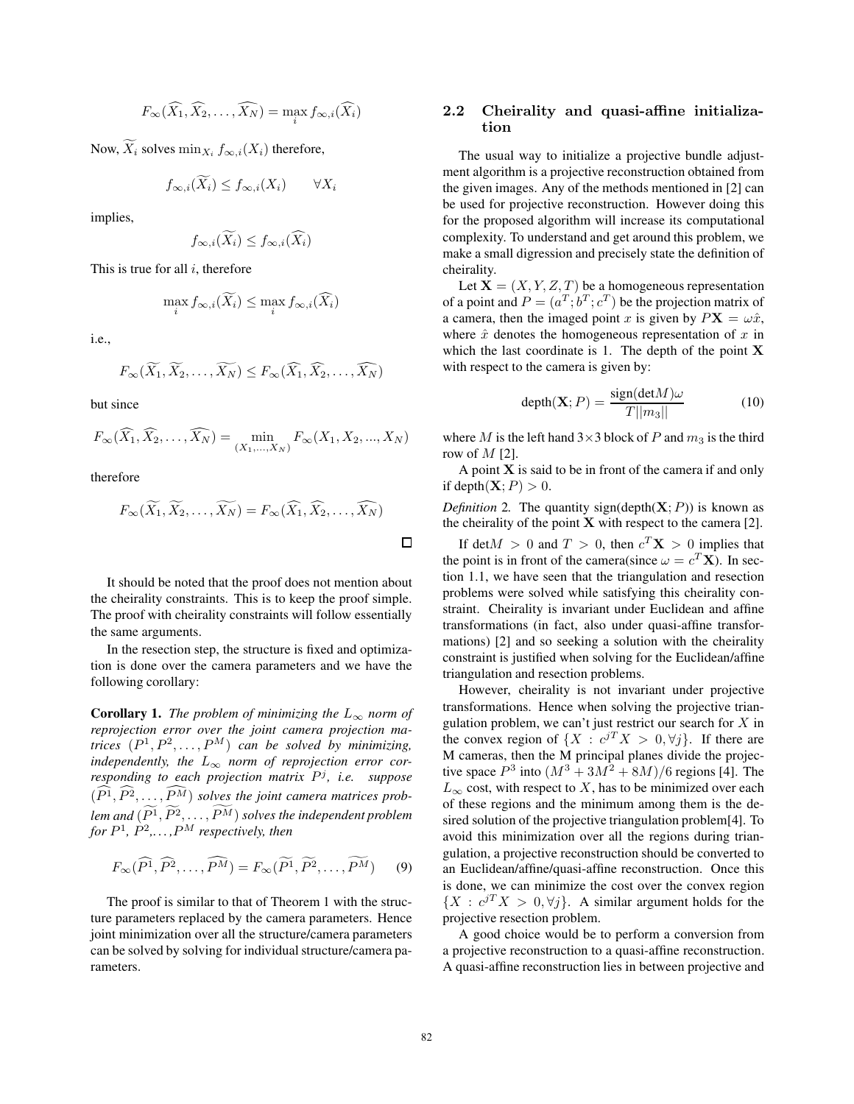$$
F_{\infty}(\widehat{X}_1, \widehat{X}_2, \dots, \widehat{X}_N) = \max_i f_{\infty, i}(\widehat{X}_i)
$$

Now,  $X_i$  solves  $\min_{X_i} f_{\infty,i}(X_i)$  therefore,

$$
f_{\infty,i}(\widetilde{X}_i) \le f_{\infty,i}(X_i) \qquad \forall X_i
$$

implies,

$$
f_{\infty,i}(\widetilde{X}_i) \le f_{\infty,i}(\widehat{X}_i)
$$

This is true for all  $i$ , therefore

$$
\max_{i} f_{\infty,i}(\widetilde{X_i}) \le \max_{i} f_{\infty,i}(\widehat{X_i})
$$

i.e.,

$$
F_{\infty}(\widetilde{X_1}, \widetilde{X_2}, \ldots, \widetilde{X_N}) \leq F_{\infty}(\widehat{X_1}, \widehat{X_2}, \ldots, \widehat{X_N})
$$

but since

$$
F_{\infty}(\widehat{X}_1, \widehat{X}_2, \dots, \widehat{X}_N) = \min_{(X_1, \dots, X_N)} F_{\infty}(X_1, X_2, \dots, X_N)
$$

therefore

$$
F_{\infty}(\widetilde{X_1}, \widetilde{X_2}, \dots, \widetilde{X_N}) = F_{\infty}(\widehat{X_1}, \widehat{X_2}, \dots, \widehat{X_N})
$$

It should be noted that the proof does not mention about the cheirality constraints. This is to keep the proof simple. The proof with cheirality constraints will follow essentially the same arguments.

In the resection step, the structure is fixed and optimization is done over the camera parameters and we have the following corollary:

**Corollary 1.** *The problem of minimizing the*  $L_{\infty}$  *norm of reprojection error over the joint camera projection matrices*  $(P^1, P^2, \ldots, P^M)$  *can be solved by minimizing,*<br>*independently the L norm of reprojection error corindependently, the*  $L_{\infty}$  *norm of reprojection error corresponding to each projection matrix* P<sup>j</sup> *, i.e. suppose*  $(P^1, P^2, \ldots, P^M)$  *solves the joint camera matrices problem and* (<sup>P</sup> *for* P<sup>1</sup>*,* P<sup>2</sup>*,. . . ,*P <sup>M</sup> *respectively, then*  $\binom{1}{1}, P^2, \ldots, P^M$  *solves the independent problem*<br> $P^M$  *respectively, then* 

$$
F_{\infty}(\widehat{P^1}, \widehat{P^2}, \dots, \widehat{P^M}) = F_{\infty}(\widetilde{P^1}, \widetilde{P^2}, \dots, \widetilde{P^M})
$$
 (9)

The proof is similar to that of Theorem 1 with the structure parameters replaced by the camera parameters. Hence joint minimization over all the structure/camera parameters can be solved by solving for individual structure/camera parameters.

# **2.2 Cheirality and quasi-affine initialization**

The usual way to initialize a projective bundle adjustment algorithm is a projective reconstruction obtained from the given images. Any of the methods mentioned in [2] can be used for projective reconstruction. However doing this for the proposed algorithm will increase its computational complexity. To understand and get around this problem, we make a small digression and precisely state the definition of cheirality.

Let  $X = (X, Y, Z, T)$  be a homogeneous representation of a point and  $P = (a^T, b^T, c^T)$  be the projection matrix of a camera, then the imaged point x is given by  $P\mathbf{X} = \omega \hat{x}$ , where  $\hat{x}$  denotes the homogeneous representation of x in which the last coordinate is 1. The depth of the point **X** with respect to the camera is given by:

$$
depth(\mathbf{X}; P) = \frac{sign(detM)\omega}{T||m_3||} \tag{10}
$$

where M is the left hand  $3\times 3$  block of P and  $m_3$  is the third row of  $M$  [2].

A point **X** is said to be in front of the camera if and only if depth $(X; P) > 0$ .

*Definition* 2. The quantity sign(depth( $X$ ; P)) is known as the cheirality of the point  $X$  with respect to the camera [2].

If det $M > 0$  and  $T > 0$ , then  $c^T \mathbf{X} > 0$  implies that the point is in front of the camera(since  $\omega = c^T \mathbf{X}$ ). In section 1.1, we have seen that the triangulation and resection problems were solved while satisfying this cheirality constraint. Cheirality is invariant under Euclidean and affine transformations (in fact, also under quasi-affine transformations) [2] and so seeking a solution with the cheirality constraint is justified when solving for the Euclidean/affine triangulation and resection problems.

However, cheirality is not invariant under projective transformations. Hence when solving the projective triangulation problem, we can't just restrict our search for  $X$  in the convex region of  $\{X : c^{jT}X > 0, \forall j\}$ . If there are M cameras, then the M principal planes divide the projective space  $P^3$  into  $(M^3 + 3M^2 + 8M)/6$  regions [4]. The  $L_{\infty}$  cost, with respect to X, has to be minimized over each of these regions and the minimum among them is the desired solution of the projective triangulation problem[4]. To avoid this minimization over all the regions during triangulation, a projective reconstruction should be converted to an Euclidean/affine/quasi-affine reconstruction. Once this is done, we can minimize the cost over the convex region  ${X : c^{jT}X > 0, \forall j}.$  A similar argument holds for the projective resection problem.

A good choice would be to perform a conversion from a projective reconstruction to a quasi-affine reconstruction. A quasi-affine reconstruction lies in between projective and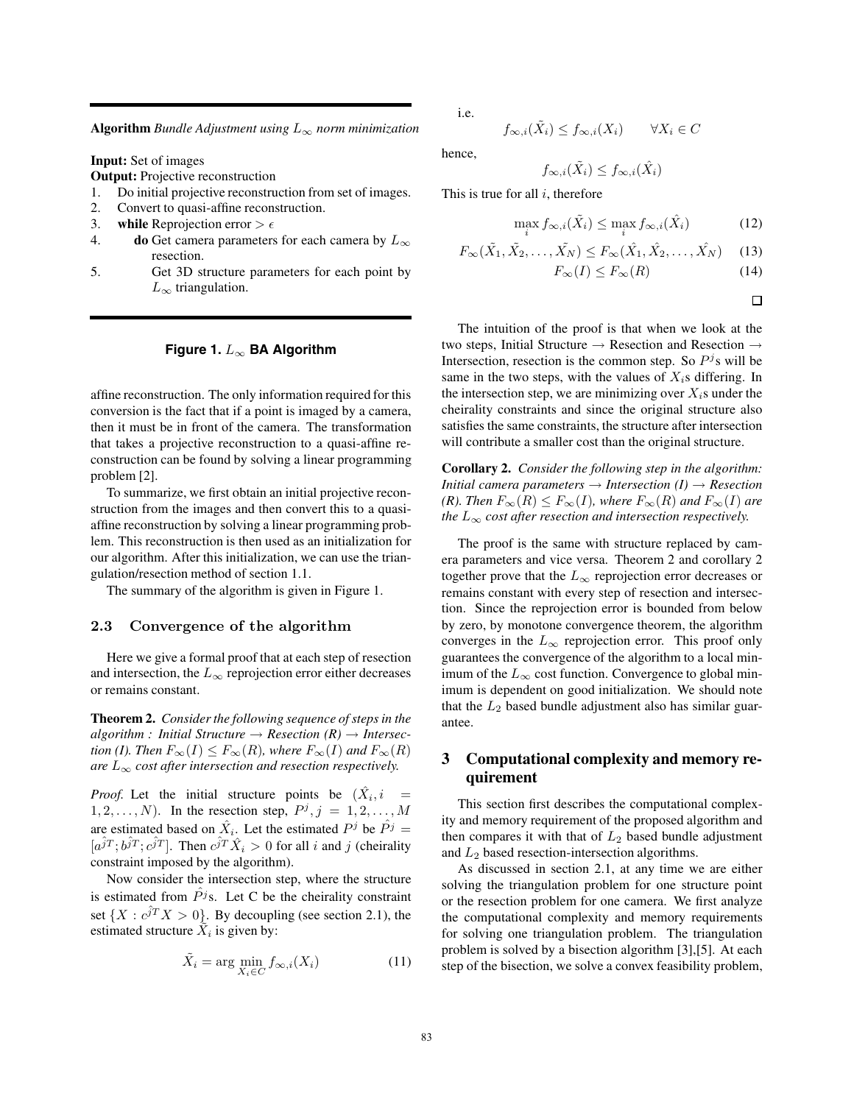**Algorithm** *Bundle Adjustment using* L<sup>∞</sup> *norm minimization*

**Input:** Set of images

**Output:** Projective reconstruction

- 1. Do initial projective reconstruction from set of images.
- 2. Convert to quasi-affine reconstruction.
- 3. **while** Reprojection error  $> \epsilon$
- 4. **do** Get camera parameters for each camera by  $L_{\infty}$ resection.
- 5. Get 3D structure parameters for each point by  $L_{\infty}$  triangulation.

#### **Figure 1.** L<sup>∞</sup> **BA Algorithm**

affine reconstruction. The only information required for this conversion is the fact that if a point is imaged by a camera, then it must be in front of the camera. The transformation that takes a projective reconstruction to a quasi-affine reconstruction can be found by solving a linear programming problem [2].

To summarize, we first obtain an initial projective reconstruction from the images and then convert this to a quasiaffine reconstruction by solving a linear programming problem. This reconstruction is then used as an initialization for our algorithm. After this initialization, we can use the triangulation/resection method of section 1.1.

The summary of the algorithm is given in Figure 1.

#### **2.3 Convergence of the algorithm**

Here we give a formal proof that at each step of resection and intersection, the  $L_{\infty}$  reprojection error either decreases or remains constant.

**Theorem 2.** *Consider the following sequence of steps in the*  $algorithm: Initial Structure \rightarrow Research (R) \rightarrow Intersec$ *tion (I). Then*  $F_{\infty}(I) \leq F_{\infty}(R)$ *, where*  $F_{\infty}(I)$  *and*  $F_{\infty}(R)$ *are*  $L_{\infty}$  *cost after intersection and resection respectively.* 

*Proof.* Let the initial structure points be  $(X_i, i)$  $1, 2, \ldots, N$ ). In the resection step,  $P^j$ ,  $j = 1, 2, \ldots, M$ are estimated based on  $\hat{X}_i$ . Let the estimated  $P^j$  be  $\hat{P}^j$  =  $[a^{\hat{j}T}; b^{\hat{j}T}; c^{\hat{j}T}]$ . Then  $c^{\hat{j}T} \hat{X}_i > 0$  for all i and j (cheirality constraint imposed by the algorithm).

Now consider the intersection step, where the structure is estimated from  $\hat{P}$ <sup>j</sup>s. Let C be the cheirality constraint set  $\{X : c\hat{j}^T X > 0\}$ . By decoupling (see section 2.1), the estimated structure  $X_i$  is given by:

$$
\tilde{X}_i = \arg\min_{X_i \in C} f_{\infty,i}(X_i)
$$
\n(11)

i.e.

$$
f_{\infty,i}(X_i) \le f_{\infty,i}(X_i) \qquad \forall X_i \in C
$$

hence,

$$
f_{\infty,i}(\tilde{X}_i) \le f_{\infty,i}(\tilde{X}_i)
$$

This is true for all  $i$ , therefore

$$
\max_{i} f_{\infty,i}(\tilde{X}_i) \le \max_{i} f_{\infty,i}(\hat{X}_i)
$$
\n(12)

$$
F_{\infty}(\tilde{X}_1, \tilde{X}_2, \dots, \tilde{X}_N) \le F_{\infty}(\hat{X}_1, \hat{X}_2, \dots, \hat{X}_N)
$$
 (13)

$$
F_{\infty}(I) \le F_{\infty}(R) \tag{14}
$$

 $\Box$ 

The intuition of the proof is that when we look at the two steps, Initial Structure → Resection and Resection → Intersection, resection is the common step. So  $P<sup>j</sup>$ s will be same in the two steps, with the values of  $X_i$ s differing. In the intersection step, we are minimizing over  $X_i$ s under the cheirality constraints and since the original structure also satisfies the same constraints, the structure after intersection will contribute a smaller cost than the original structure.

**Corollary 2.** *Consider the following step in the algorithm: Initial camera parameters*  $\rightarrow$  *Intersection* (*I*)  $\rightarrow$  *Resection (R). Then*  $F_{\infty}(R) \leq F_{\infty}(I)$ *, where*  $F_{\infty}(R)$  *and*  $F_{\infty}(I)$  *are the*  $L_{\infty}$  *cost after resection and intersection respectively.* 

The proof is the same with structure replaced by camera parameters and vice versa. Theorem 2 and corollary 2 together prove that the  $L_{\infty}$  reprojection error decreases or remains constant with every step of resection and intersection. Since the reprojection error is bounded from below by zero, by monotone convergence theorem, the algorithm converges in the  $L_{\infty}$  reprojection error. This proof only guarantees the convergence of the algorithm to a local minimum of the  $L_{\infty}$  cost function. Convergence to global minimum is dependent on good initialization. We should note that the  $L_2$  based bundle adjustment also has similar guarantee.

# **3 Computational complexity and memory requirement**

This section first describes the computational complexity and memory requirement of the proposed algorithm and then compares it with that of  $L_2$  based bundle adjustment and  $L_2$  based resection-intersection algorithms.

As discussed in section 2.1, at any time we are either solving the triangulation problem for one structure point or the resection problem for one camera. We first analyze the computational complexity and memory requirements for solving one triangulation problem. The triangulation problem is solved by a bisection algorithm [3],[5]. At each step of the bisection, we solve a convex feasibility problem,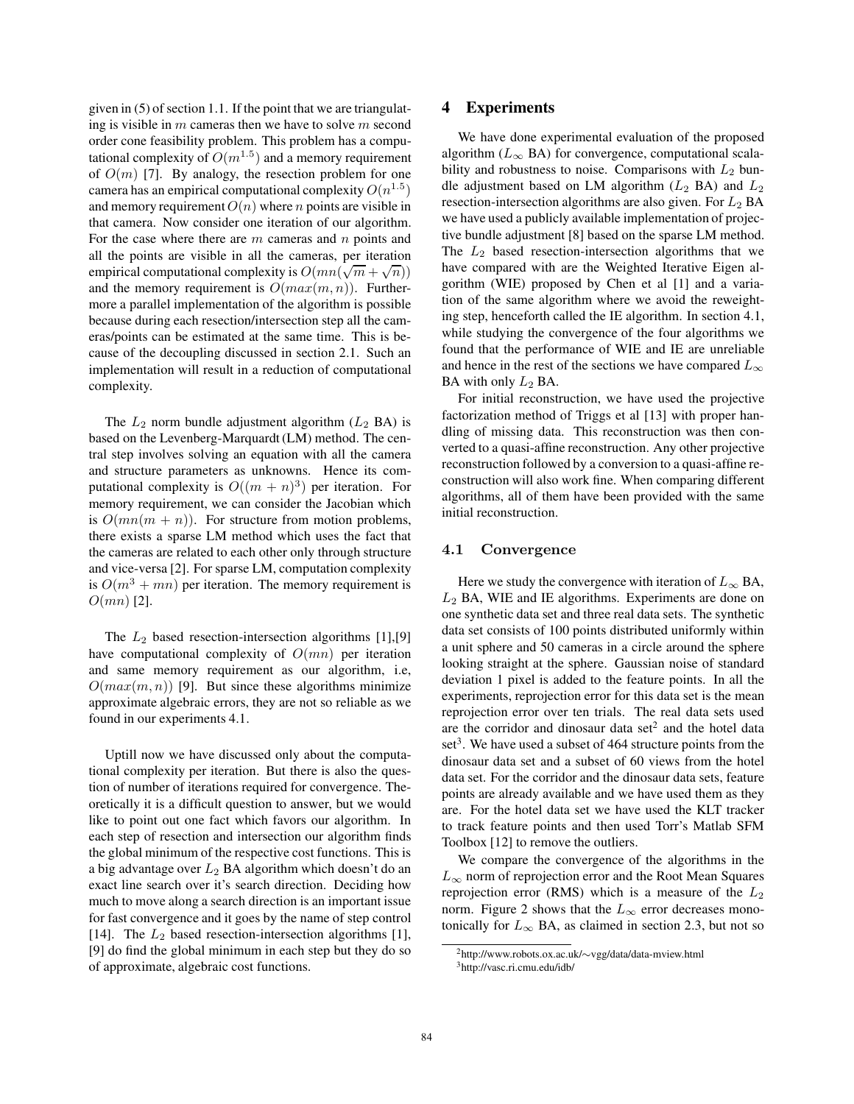given in (5) of section 1.1. If the point that we are triangulating is visible in  $m$  cameras then we have to solve  $m$  second order cone feasibility problem. This problem has a computational complexity of  $O(m^{1.5})$  and a memory requirement of  $O(m)$  [7]. By analogy, the resection problem for one camera has an empirical computational complexity  $O(n^{1.5})$ and memory requirement  $O(n)$  where n points are visible in that camera. Now consider one iteration of our algorithm. For the case where there are  $m$  cameras and  $n$  points and all the points are visible in all the cameras, per iteration empirical computational complexity is  $O(mn(\sqrt{m} + \sqrt{n}))$ <br>and the memory requirement is  $O(mn(m/n))$ . Furtherand the memory requirement is  $O(max(m, n))$ . Furthermore a parallel implementation of the algorithm is possible because during each resection/intersection step all the cameras/points can be estimated at the same time. This is because of the decoupling discussed in section 2.1. Such an implementation will result in a reduction of computational complexity.

The  $L_2$  norm bundle adjustment algorithm  $(L_2 \text{ BA})$  is based on the Levenberg-Marquardt (LM) method. The central step involves solving an equation with all the camera and structure parameters as unknowns. Hence its computational complexity is  $O((m + n)^3)$  per iteration. For memory requirement, we can consider the Jacobian which is  $O(mn(m + n))$ . For structure from motion problems, there exists a sparse LM method which uses the fact that the cameras are related to each other only through structure and vice-versa [2]. For sparse LM, computation complexity is  $O(m^3 + mn)$  per iteration. The memory requirement is  $O(mn)$  [2].

The  $L_2$  based resection-intersection algorithms [1],[9] have computational complexity of  $O(mn)$  per iteration and same memory requirement as our algorithm, i.e,  $O(max(m, n))$  [9]. But since these algorithms minimize approximate algebraic errors, they are not so reliable as we found in our experiments 4.1.

Uptill now we have discussed only about the computational complexity per iteration. But there is also the question of number of iterations required for convergence. Theoretically it is a difficult question to answer, but we would like to point out one fact which favors our algorithm. In each step of resection and intersection our algorithm finds the global minimum of the respective cost functions. This is a big advantage over  $L_2$  BA algorithm which doesn't do an exact line search over it's search direction. Deciding how much to move along a search direction is an important issue for fast convergence and it goes by the name of step control [14]. The  $L_2$  based resection-intersection algorithms [1], [9] do find the global minimum in each step but they do so of approximate, algebraic cost functions.

# **4 Experiments**

We have done experimental evaluation of the proposed algorithm ( $L_{\infty}$  BA) for convergence, computational scalability and robustness to noise. Comparisons with  $L_2$  bundle adjustment based on LM algorithm  $(L_2 \text{ BA})$  and  $L_2$ resection-intersection algorithms are also given. For  $L_2$  BA we have used a publicly available implementation of projective bundle adjustment [8] based on the sparse LM method. The  $L_2$  based resection-intersection algorithms that we have compared with are the Weighted Iterative Eigen algorithm (WIE) proposed by Chen et al [1] and a variation of the same algorithm where we avoid the reweighting step, henceforth called the IE algorithm. In section 4.1, while studying the convergence of the four algorithms we found that the performance of WIE and IE are unreliable and hence in the rest of the sections we have compared  $L_{\infty}$ BA with only  $L_2$  BA.

For initial reconstruction, we have used the projective factorization method of Triggs et al [13] with proper handling of missing data. This reconstruction was then converted to a quasi-affine reconstruction. Any other projective reconstruction followed by a conversion to a quasi-affine reconstruction will also work fine. When comparing different algorithms, all of them have been provided with the same initial reconstruction.

#### **4.1 Convergence**

Here we study the convergence with iteration of  $L_{\infty}$  BA,  $L_2$  BA, WIE and IE algorithms. Experiments are done on one synthetic data set and three real data sets. The synthetic data set consists of 100 points distributed uniformly within a unit sphere and 50 cameras in a circle around the sphere looking straight at the sphere. Gaussian noise of standard deviation 1 pixel is added to the feature points. In all the experiments, reprojection error for this data set is the mean reprojection error over ten trials. The real data sets used are the corridor and dinosaur data set $2$  and the hotel data set<sup>3</sup>. We have used a subset of 464 structure points from the dinosaur data set and a subset of 60 views from the hotel data set. For the corridor and the dinosaur data sets, feature points are already available and we have used them as they are. For the hotel data set we have used the KLT tracker to track feature points and then used Torr's Matlab SFM Toolbox [12] to remove the outliers.

We compare the convergence of the algorithms in the  $L_{\infty}$  norm of reprojection error and the Root Mean Squares reprojection error (RMS) which is a measure of the  $L_2$ norm. Figure 2 shows that the  $L_{\infty}$  error decreases monotonically for  $L_{\infty}$  BA, as claimed in section 2.3, but not so

<sup>2</sup>http://www.robots.ox.ac.uk/∼vgg/data/data-mview.html 3http://vasc.ri.cmu.edu/idb/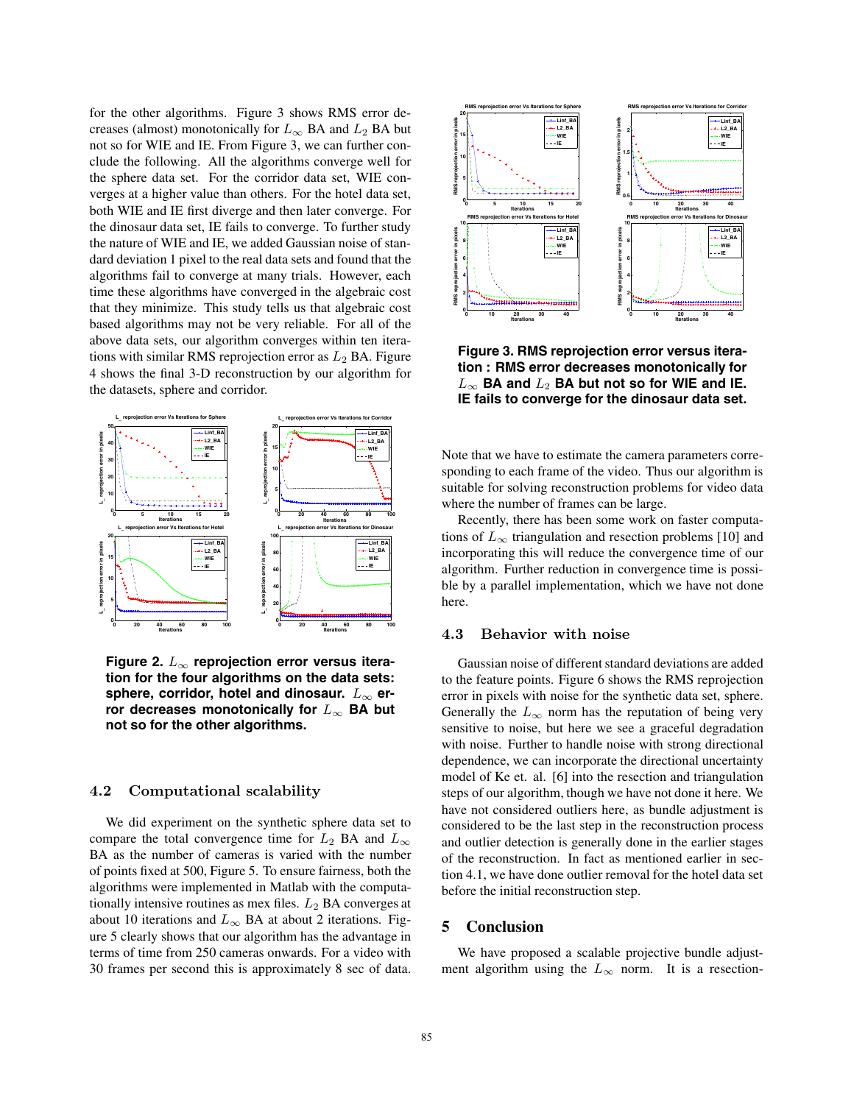for the other algorithms. Figure 3 shows RMS error decreases (almost) monotonically for  $L_{\infty}$  BA and  $L_2$  BA but not so for WIE and IE. From Figure 3, we can further conclude the following. All the algorithms converge well for the sphere data set. For the corridor data set, WIE converges at a higher value than others. For the hotel data set, both WIE and IE first diverge and then later converge. For the dinosaur data set, IE fails to converge. To further study the nature of WIE and IE, we added Gaussian noise of standard deviation 1 pixel to the real data sets and found that the algorithms fail to converge at many trials. However, each time these algorithms have converged in the algebraic cost that they minimize. This study tells us that algebraic cost based algorithms may not be very reliable. For all of the above data sets, our algorithm converges within ten iterations with similar RMS reprojection error as  $L_2$  BA. Figure 4 shows the final 3-D reconstruction by our algorithm for the datasets, sphere and corridor.



**Figure 2.** L<sup>∞</sup> **reprojection error versus iteration for the four algorithms on the data sets:** sphere, corridor, hotel and dinosaur. L<sub>∞</sub> er**ror decreases monotonically for** L<sup>∞</sup> **BA but not so for the other algorithms.**

# **4.2 Computational scalability**

We did experiment on the synthetic sphere data set to compare the total convergence time for  $L_2$  BA and  $L_{\infty}$ BA as the number of cameras is varied with the number of points fixed at 500, Figure 5. To ensure fairness, both the algorithms were implemented in Matlab with the computationally intensive routines as mex files.  $L_2$  BA converges at about 10 iterations and  $L_{\infty}$  BA at about 2 iterations. Figure 5 clearly shows that our algorithm has the advantage in terms of time from 250 cameras onwards. For a video with 30 frames per second this is approximately 8 sec of data.



**Figure 3. RMS reprojection error versus iteration : RMS error decreases monotonically for**  $L_{\infty}$  BA and  $L_2$  BA but not so for WIE and IE. **IE fails to converge for the dinosaur data set.**

Note that we have to estimate the camera parameters corresponding to each frame of the video. Thus our algorithm is suitable for solving reconstruction problems for video data where the number of frames can be large.

Recently, there has been some work on faster computations of  $L_{\infty}$  triangulation and resection problems [10] and incorporating this will reduce the convergence time of our algorithm. Further reduction in convergence time is possible by a parallel implementation, which we have not done here.

# **4.3 Behavior with noise**

Gaussian noise of different standard deviations are added to the feature points. Figure 6 shows the RMS reprojection error in pixels with noise for the synthetic data set, sphere. Generally the  $L_{\infty}$  norm has the reputation of being very sensitive to noise, but here we see a graceful degradation with noise. Further to handle noise with strong directional dependence, we can incorporate the directional uncertainty model of Ke et. al. [6] into the resection and triangulation steps of our algorithm, though we have not done it here. We have not considered outliers here, as bundle adjustment is considered to be the last step in the reconstruction process and outlier detection is generally done in the earlier stages of the reconstruction. In fact as mentioned earlier in section 4.1, we have done outlier removal for the hotel data set before the initial reconstruction step.

# **5 Conclusion**

We have proposed a scalable projective bundle adjustment algorithm using the  $L_{\infty}$  norm. It is a resection-